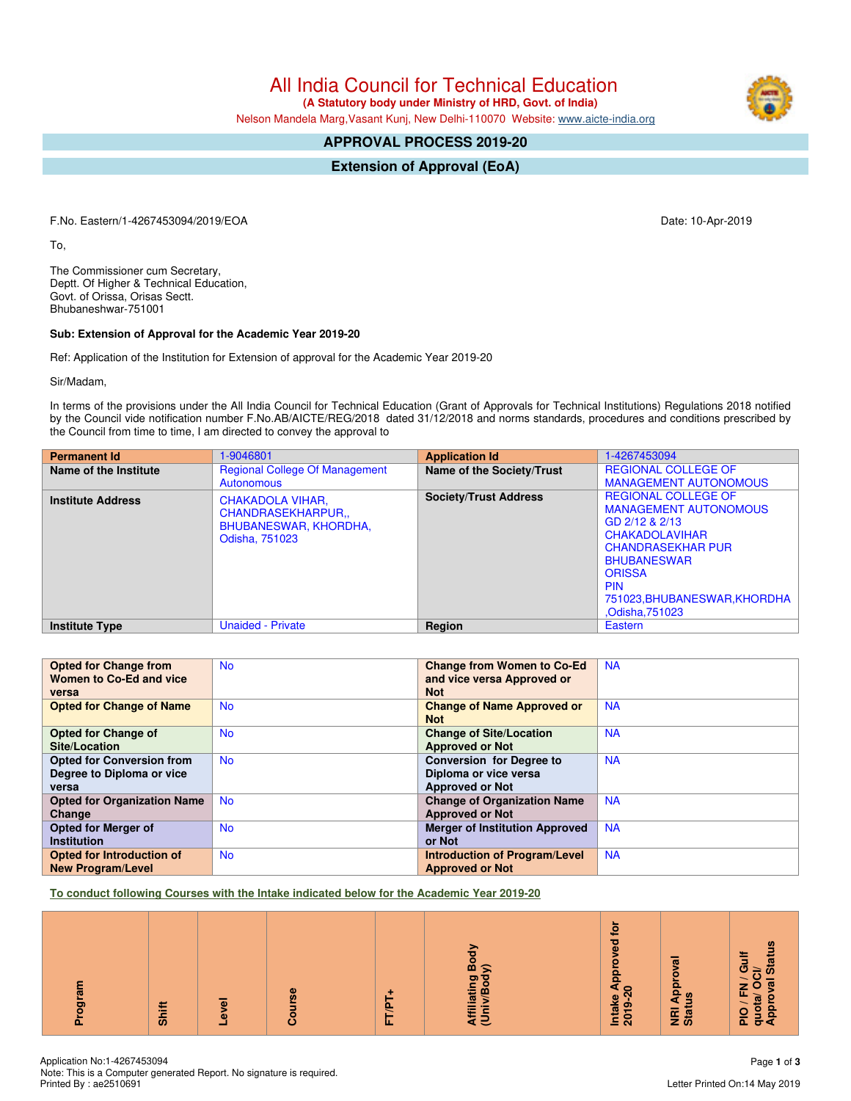All India Council for Technical Education

 **(A Statutory body under Ministry of HRD, Govt. of India)**

Nelson Mandela Marg,Vasant Kunj, New Delhi-110070 Website: [www.aicte-india.org](http://www.aicte-india.org)

# **APPROVAL PROCESS 2019-20**

**Extension of Approval (EoA)**

F.No. Eastern/1-4267453094/2019/EOA Date: 10-Apr-2019

To,

The Commissioner cum Secretary, Deptt. Of Higher & Technical Education, Govt. of Orissa, Orisas Sectt. Bhubaneshwar-751001

#### **Sub: Extension of Approval for the Academic Year 2019-20**

Ref: Application of the Institution for Extension of approval for the Academic Year 2019-20

Sir/Madam,

In terms of the provisions under the All India Council for Technical Education (Grant of Approvals for Technical Institutions) Regulations 2018 notified by the Council vide notification number F.No.AB/AICTE/REG/2018 dated 31/12/2018 and norms standards, procedures and conditions prescribed by the Council from time to time, I am directed to convey the approval to

| <b>Permanent Id</b>      | 1-9046801                                                                              | <b>Application Id</b>        | 1-4267453094                                                                                                                                                                                                                              |
|--------------------------|----------------------------------------------------------------------------------------|------------------------------|-------------------------------------------------------------------------------------------------------------------------------------------------------------------------------------------------------------------------------------------|
| Name of the Institute    | <b>Regional College Of Management</b>                                                  | Name of the Society/Trust    | <b>REGIONAL COLLEGE OF</b>                                                                                                                                                                                                                |
|                          | Autonomous                                                                             |                              | <b>MANAGEMENT AUTONOMOUS</b>                                                                                                                                                                                                              |
| <b>Institute Address</b> | CHAKADOLA VIHAR,<br>CHANDRASEKHARPUR<br><b>BHUBANESWAR, KHORDHA,</b><br>Odisha, 751023 | <b>Society/Trust Address</b> | <b>REGIONAL COLLEGE OF</b><br><b>MANAGEMENT AUTONOMOUS</b><br>GD 2/12 & 2/13<br><b>CHAKADOLAVIHAR</b><br><b>CHANDRASEKHAR PUR</b><br><b>BHUBANESWAR</b><br><b>ORISSA</b><br><b>PIN</b><br>751023, BHUBANESWAR, KHORDHA<br>.Odisha, 751023 |
| <b>Institute Type</b>    | <b>Unaided - Private</b>                                                               | Region                       | Eastern                                                                                                                                                                                                                                   |

| <b>Opted for Change from</b>       | <b>No</b> | <b>Change from Women to Co-Ed</b>     | <b>NA</b> |
|------------------------------------|-----------|---------------------------------------|-----------|
| Women to Co-Ed and vice            |           | and vice versa Approved or            |           |
| versa                              |           | <b>Not</b>                            |           |
| <b>Opted for Change of Name</b>    | <b>No</b> | <b>Change of Name Approved or</b>     | <b>NA</b> |
|                                    |           | <b>Not</b>                            |           |
| <b>Opted for Change of</b>         | <b>No</b> | <b>Change of Site/Location</b>        | <b>NA</b> |
| Site/Location                      |           | <b>Approved or Not</b>                |           |
| <b>Opted for Conversion from</b>   | <b>No</b> | <b>Conversion for Degree to</b>       | <b>NA</b> |
| Degree to Diploma or vice          |           | Diploma or vice versa                 |           |
| versa                              |           | <b>Approved or Not</b>                |           |
| <b>Opted for Organization Name</b> | <b>No</b> | <b>Change of Organization Name</b>    | <b>NA</b> |
| Change                             |           | <b>Approved or Not</b>                |           |
| Opted for Merger of                | <b>No</b> | <b>Merger of Institution Approved</b> | <b>NA</b> |
| <b>Institution</b>                 |           | or Not                                |           |
| Opted for Introduction of          | <b>No</b> | <b>Introduction of Program/Level</b>  | <b>NA</b> |
| <b>New Program/Level</b>           |           | <b>Approved or Not</b>                |           |

**To conduct following Courses with the Intake indicated below for the Academic Year 2019-20**

| 능 | Shift | <b>level</b> | $\omega$<br>Ø)<br>ā | 'n.<br>ਜ | Affiliating Boc<br>(Univ/Body) | ٩ŕ<br>$\overline{e}$<br>$\bullet$<br>e Appr<br>-20<br>Intake<br>2019- | $\overline{\mathfrak{m}}$<br>Approv<br><b>Status</b><br>$\overline{g}$ | / Gulf<br><b>Statu</b><br>FN / G<br>a/ OCI/<br>quota/OC<br>Approval<br>$\overline{\phantom{a}}$<br>$\frac{1}{2}$ |
|---|-------|--------------|---------------------|----------|--------------------------------|-----------------------------------------------------------------------|------------------------------------------------------------------------|------------------------------------------------------------------------------------------------------------------|
|   |       | -            | O                   |          |                                |                                                                       |                                                                        |                                                                                                                  |

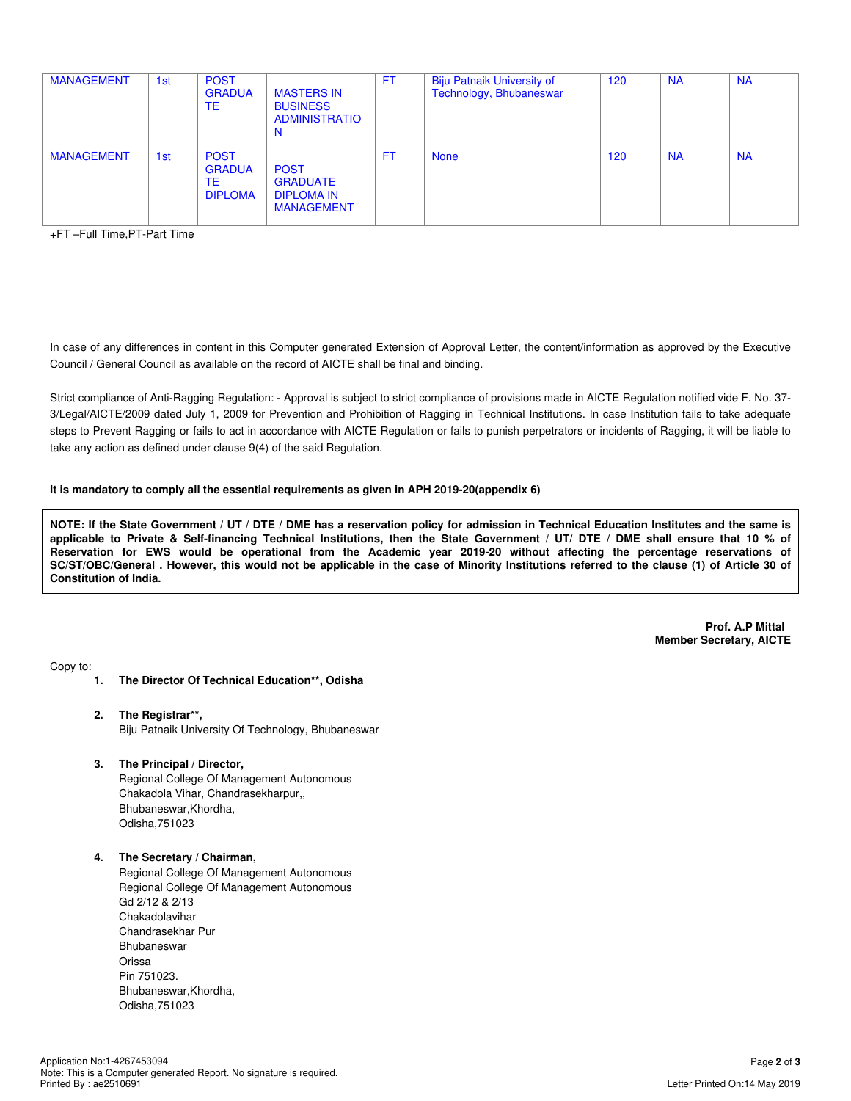| <b>MANAGEMENT</b> | 1st | <b>POST</b><br><b>GRADUA</b><br>TE                   | <b>MASTERS IN</b><br><b>BUSINESS</b><br><b>ADMINISTRATIO</b><br>N        | FT  | <b>Biju Patnaik University of</b><br>Technology, Bhubaneswar | 120 | <b>NA</b> | <b>NA</b> |
|-------------------|-----|------------------------------------------------------|--------------------------------------------------------------------------|-----|--------------------------------------------------------------|-----|-----------|-----------|
| <b>MANAGEMENT</b> | 1st | <b>POST</b><br><b>GRADUA</b><br>TE<br><b>DIPLOMA</b> | <b>POST</b><br><b>GRADUATE</b><br><b>DIPLOMA IN</b><br><b>MANAGEMENT</b> | FT. | <b>None</b>                                                  | 120 | <b>NA</b> | <b>NA</b> |

+FT –Full Time,PT-Part Time

In case of any differences in content in this Computer generated Extension of Approval Letter, the content/information as approved by the Executive Council / General Council as available on the record of AICTE shall be final and binding.

Strict compliance of Anti-Ragging Regulation: - Approval is subject to strict compliance of provisions made in AICTE Regulation notified vide F. No. 37- 3/Legal/AICTE/2009 dated July 1, 2009 for Prevention and Prohibition of Ragging in Technical Institutions. In case Institution fails to take adequate steps to Prevent Ragging or fails to act in accordance with AICTE Regulation or fails to punish perpetrators or incidents of Ragging, it will be liable to take any action as defined under clause 9(4) of the said Regulation.

### **It is mandatory to comply all the essential requirements as given in APH 2019-20(appendix 6)**

**NOTE: If the State Government / UT / DTE / DME has a reservation policy for admission in Technical Education Institutes and the same is applicable to Private & Self-financing Technical Institutions, then the State Government / UT/ DTE / DME shall ensure that 10 % of Reservation for EWS would be operational from the Academic year 2019-20 without affecting the percentage reservations of SC/ST/OBC/General . However, this would not be applicable in the case of Minority Institutions referred to the clause (1) of Article 30 of Constitution of India.**

> **Prof. A.P Mittal Member Secretary, AICTE**

Copy to:

- **1. The Director Of Technical Education\*\*, Odisha**
- **2. The Registrar\*\*,** Biju Patnaik University Of Technology, Bhubaneswar
- **3. The Principal / Director,** Regional College Of Management Autonomous Chakadola Vihar, Chandrasekharpur,, Bhubaneswar,Khordha, Odisha,751023

#### **4. The Secretary / Chairman,**

Regional College Of Management Autonomous Regional College Of Management Autonomous Gd 2/12 & 2/13 Chakadolavihar Chandrasekhar Pur Bhubaneswar Orissa Pin 751023. Bhubaneswar,Khordha, Odisha,751023